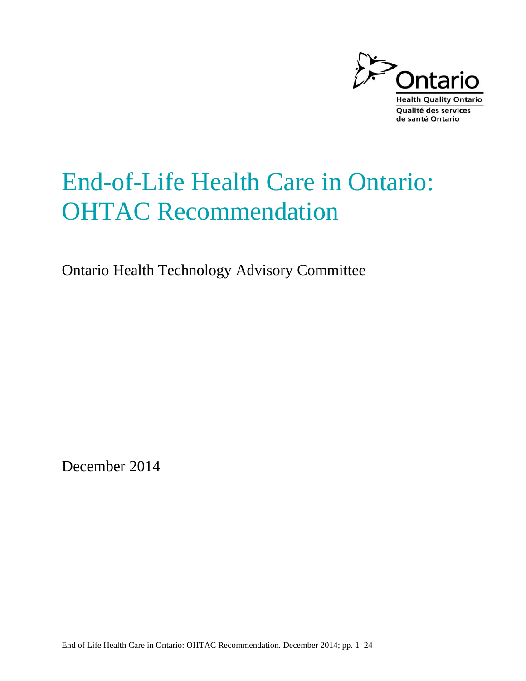

# End-of-Life Health Care in Ontario: OHTAC Recommendation

Ontario Health Technology Advisory Committee

December 2014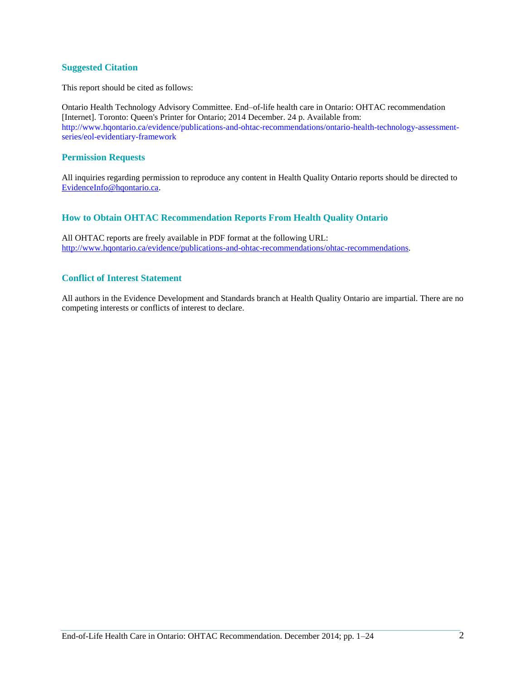#### **Suggested Citation**

This report should be cited as follows:

Ontario Health Technology Advisory Committee. End–of-life health care in Ontario: OHTAC recommendation [Internet]. Toronto: Queen's Printer for Ontario; 2014 December. 24 p. Available from: http://www.hqontario.ca/evidence/publications-and-ohtac-recommendations/ontario-health-technology-assessmentseries/eol-evidentiary-framework

#### **Permission Requests**

All inquiries regarding permission to reproduce any content in Health Quality Ontario reports should be directed to EvidenceInfo@hqontario.ca.

### **How to Obtain OHTAC Recommendation Reports From Health Quality Ontario**

All OHTAC reports are freely available in PDF format at the following URL: [http://www.hqontario.ca/evidence/publications-and-ohtac-recommendations/ohtac-recommendations.](http://www.hqontario.ca/evidence/publications-and-ohtac-recommendations/ohtac-recommendations)

#### **Conflict of Interest Statement**

All authors in the Evidence Development and Standards branch at Health Quality Ontario are impartial. There are no competing interests or conflicts of interest to declare.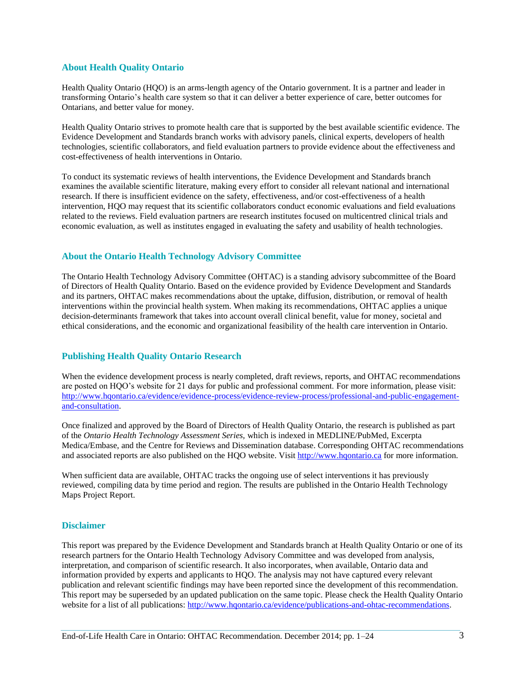### **About Health Quality Ontario**

Health Quality Ontario (HQO) is an arms-length agency of the Ontario government. It is a partner and leader in transforming Ontario's health care system so that it can deliver a better experience of care, better outcomes for Ontarians, and better value for money.

Health Quality Ontario strives to promote health care that is supported by the best available scientific evidence. The Evidence Development and Standards branch works with advisory panels, clinical experts, developers of health technologies, scientific collaborators, and field evaluation partners to provide evidence about the effectiveness and cost-effectiveness of health interventions in Ontario.

To conduct its systematic reviews of health interventions, the Evidence Development and Standards branch examines the available scientific literature, making every effort to consider all relevant national and international research. If there is insufficient evidence on the safety, effectiveness, and/or cost-effectiveness of a health intervention, HQO may request that its scientific collaborators conduct economic evaluations and field evaluations related to the reviews. Field evaluation partners are research institutes focused on multicentred clinical trials and economic evaluation, as well as institutes engaged in evaluating the safety and usability of health technologies.

### **About the Ontario Health Technology Advisory Committee**

The Ontario Health Technology Advisory Committee (OHTAC) is a standing advisory subcommittee of the Board of Directors of Health Quality Ontario. Based on the evidence provided by Evidence Development and Standards and its partners, OHTAC makes recommendations about the uptake, diffusion, distribution, or removal of health interventions within the provincial health system. When making its recommendations, OHTAC applies a unique decision-determinants framework that takes into account overall clinical benefit, value for money, societal and ethical considerations, and the economic and organizational feasibility of the health care intervention in Ontario.

### **Publishing Health Quality Ontario Research**

When the evidence development process is nearly completed, draft reviews, reports, and OHTAC recommendations are posted on HQO's website for 21 days for public and professional comment. For more information, please visit: [http://www.hqontario.ca/evidence/evidence-process/evidence-review-process/professional-and-public-engagement](http://www.hqontario.ca/evidence/evidence-process/evidence-review-process/professional-and-public-engagement-and-consultation)[and-consultation.](http://www.hqontario.ca/evidence/evidence-process/evidence-review-process/professional-and-public-engagement-and-consultation)

Once finalized and approved by the Board of Directors of Health Quality Ontario, the research is published as part of the *Ontario Health Technology Assessment Series,* which is indexed in MEDLINE/PubMed, Excerpta Medica/Embase, and the Centre for Reviews and Dissemination database. Corresponding OHTAC recommendations and associated reports are also published on the HQO website. Visi[t http://www.hqontario.ca](http://www.hqontario.ca/) for more information.

When sufficient data are available, OHTAC tracks the ongoing use of select interventions it has previously reviewed, compiling data by time period and region. The results are published in the Ontario Health Technology Maps Project Report.

#### **Disclaimer**

This report was prepared by the Evidence Development and Standards branch at Health Quality Ontario or one of its research partners for the Ontario Health Technology Advisory Committee and was developed from analysis, interpretation, and comparison of scientific research. It also incorporates, when available, Ontario data and information provided by experts and applicants to HQO. The analysis may not have captured every relevant publication and relevant scientific findings may have been reported since the development of this recommendation. This report may be superseded by an updated publication on the same topic. Please check the Health Quality Ontario website for a list of all publications: [http://www.hqontario.ca/evidence/publications-and-ohtac-recommendations.](http://www.hqontario.ca/evidence/publications-and-ohtac-recommendations)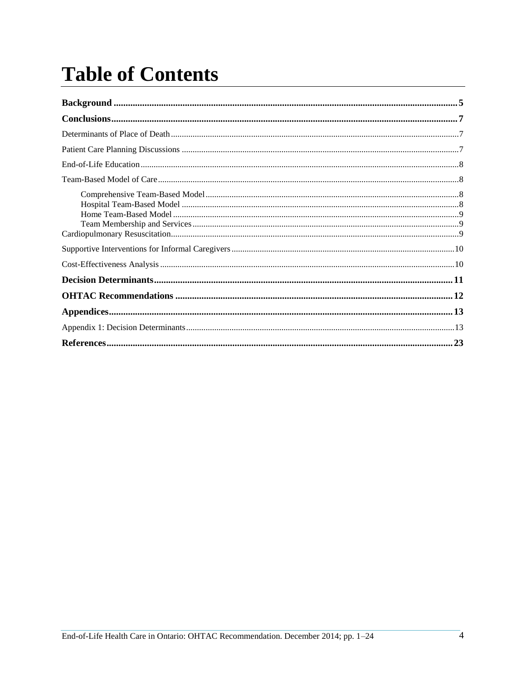# **Table of Contents**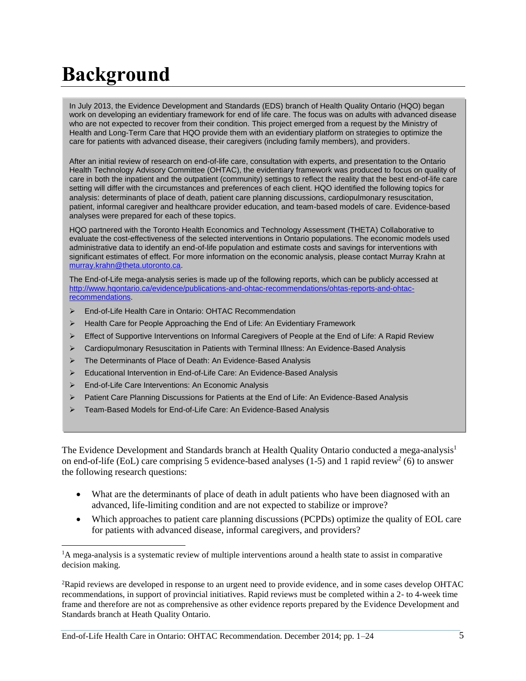# <span id="page-4-0"></span>**Background**

In July 2013, the Evidence Development and Standards (EDS) branch of Health Quality Ontario (HQO) began work on developing an evidentiary framework for end of life care. The focus was on adults with advanced disease who are not expected to recover from their condition. This project emerged from a request by the Ministry of Health and Long-Term Care that HQO provide them with an evidentiary platform on strategies to optimize the care for patients with advanced disease, their caregivers (including family members), and providers.

After an initial review of research on end-of-life care, consultation with experts, and presentation to the Ontario Health Technology Advisory Committee (OHTAC), the evidentiary framework was produced to focus on quality of care in both the inpatient and the outpatient (community) settings to reflect the reality that the best end-of-life care setting will differ with the circumstances and preferences of each client. HQO identified the following topics for analysis: determinants of place of death, patient care planning discussions, cardiopulmonary resuscitation, patient, informal caregiver and healthcare provider education, and team-based models of care. Evidence-based analyses were prepared for each of these topics.

HQO partnered with the Toronto Health Economics and Technology Assessment (THETA) Collaborative to evaluate the cost-effectiveness of the selected interventions in Ontario populations. The economic models used administrative data to identify an end-of-life population and estimate costs and savings for interventions with significant estimates of effect. For more information on the economic analysis, please contact Murray Krahn at [murray.krahn@theta.utoronto.ca.](mailto:murray.krahn@theta.utoronto.ca)

The End-of-Life mega-analysis series is made up of the following reports, which can be publicly accessed at [http://www.hqontario.ca/evidence/publications-and-ohtac-recommendations/ohtas-reports-and-ohtac](http://www.hqontario.ca/evidence/publications-and-ohtac-recommendations/ohtas-reports-and-ohtac-recommendations)[recommendations](http://www.hqontario.ca/evidence/publications-and-ohtac-recommendations/ohtas-reports-and-ohtac-recommendations).

- End-of-Life Health Care in Ontario: OHTAC Recommendation
- ▶ Health Care for People Approaching the End of Life: An Evidentiary Framework
- $\triangleright$  Effect of Supportive Interventions on Informal Caregivers of People at the End of Life: A Rapid Review
- Cardiopulmonary Resuscitation in Patients with Terminal Illness: An Evidence-Based Analysis
- The Determinants of Place of Death: An Evidence-Based Analysis
- Educational Intervention in End-of-Life Care: An Evidence-Based Analysis
- End-of-Life Care Interventions: An Economic Analysis

l

- Patient Care Planning Discussions for Patients at the End of Life: An Evidence-Based Analysis
- Team-Based Models for End-of-Life Care: An Evidence-Based Analysis

The Evidence Development and Standards branch at Health Quality Ontario conducted a mega-analysis<sup>1</sup> on end-of-life (EoL) care comprising 5 evidence-based analyses  $(1-5)$  and 1 rapid review<sup>2</sup> (6) to answer the following research questions:

- What are the determinants of place of death in adult patients who have been diagnosed with an advanced, life-limiting condition and are not expected to stabilize or improve?
- Which approaches to patient care planning discussions (PCPDs) optimize the quality of EOL care for patients with advanced disease, informal caregivers, and providers?

<sup>&</sup>lt;sup>1</sup>A mega-analysis is a systematic review of multiple interventions around a health state to assist in comparative decision making.

<sup>2</sup>Rapid reviews are developed in response to an urgent need to provide evidence, and in some cases develop OHTAC recommendations, in support of provincial initiatives. Rapid reviews must be completed within a 2- to 4-week time frame and therefore are not as comprehensive as other evidence reports prepared by the Evidence Development and Standards branch at Heath Quality Ontario.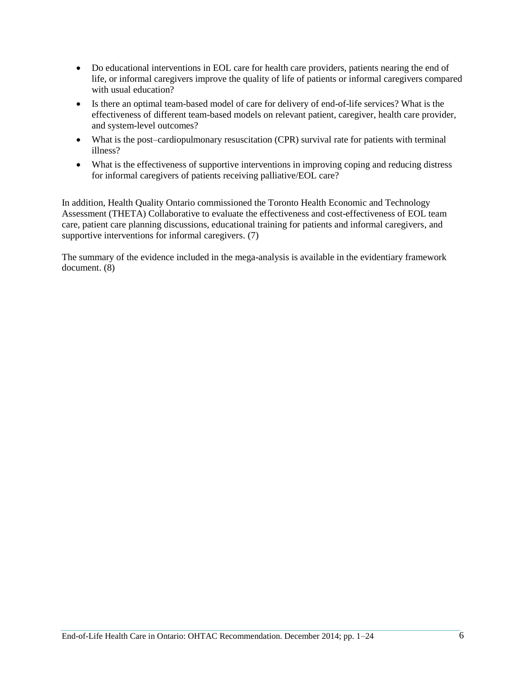- Do educational interventions in EOL care for health care providers, patients nearing the end of life, or informal caregivers improve the quality of life of patients or informal caregivers compared with usual education?
- Is there an optimal team-based model of care for delivery of end-of-life services? What is the effectiveness of different team-based models on relevant patient, caregiver, health care provider, and system-level outcomes?
- What is the post–cardiopulmonary resuscitation (CPR) survival rate for patients with terminal illness?
- What is the effectiveness of supportive interventions in improving coping and reducing distress for informal caregivers of patients receiving palliative/EOL care?

In addition, Health Quality Ontario commissioned the Toronto Health Economic and Technology Assessment (THETA) Collaborative to evaluate the effectiveness and cost-effectiveness of EOL team care, patient care planning discussions, educational training for patients and informal caregivers, and supportive interventions for informal caregivers. (7)

The summary of the evidence included in the mega-analysis is available in the evidentiary framework document. (8)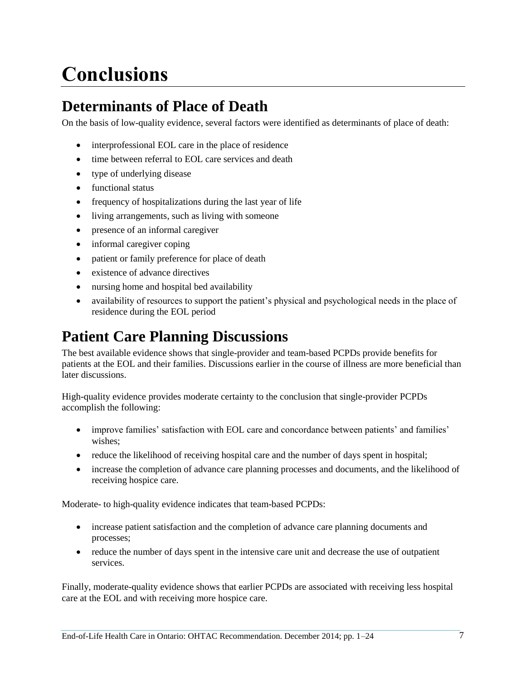# <span id="page-6-0"></span>**Conclusions**

# <span id="page-6-1"></span>**Determinants of Place of Death**

On the basis of low-quality evidence, several factors were identified as determinants of place of death:

- interprofessional EOL care in the place of residence
- time between referral to EOL care services and death
- type of underlying disease
- functional status
- frequency of hospitalizations during the last year of life
- living arrangements, such as living with someone
- presence of an informal caregiver
- informal caregiver coping
- patient or family preference for place of death
- existence of advance directives
- nursing home and hospital bed availability
- availability of resources to support the patient's physical and psychological needs in the place of residence during the EOL period

## <span id="page-6-2"></span>**Patient Care Planning Discussions**

The best available evidence shows that single-provider and team-based PCPDs provide benefits for patients at the EOL and their families. Discussions earlier in the course of illness are more beneficial than later discussions.

High-quality evidence provides moderate certainty to the conclusion that single-provider PCPDs accomplish the following:

- improve families' satisfaction with EOL care and concordance between patients' and families' wishes;
- reduce the likelihood of receiving hospital care and the number of days spent in hospital;
- increase the completion of advance care planning processes and documents, and the likelihood of receiving hospice care.

Moderate- to high-quality evidence indicates that team-based PCPDs:

- increase patient satisfaction and the completion of advance care planning documents and processes;
- reduce the number of days spent in the intensive care unit and decrease the use of outpatient services.

Finally, moderate-quality evidence shows that earlier PCPDs are associated with receiving less hospital care at the EOL and with receiving more hospice care.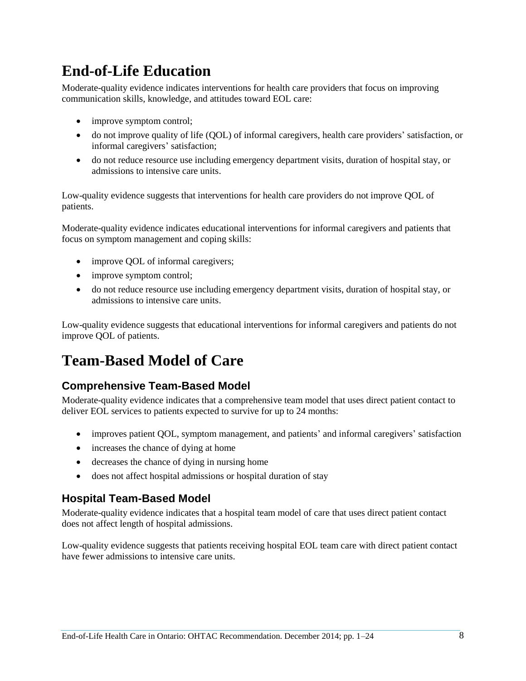# <span id="page-7-0"></span>**End-of-Life Education**

Moderate-quality evidence indicates interventions for health care providers that focus on improving communication skills, knowledge, and attitudes toward EOL care:

- improve symptom control;
- do not improve quality of life (QOL) of informal caregivers, health care providers' satisfaction, or informal caregivers' satisfaction;
- do not reduce resource use including emergency department visits, duration of hospital stay, or admissions to intensive care units.

Low-quality evidence suggests that interventions for health care providers do not improve QOL of patients.

Moderate-quality evidence indicates educational interventions for informal caregivers and patients that focus on symptom management and coping skills:

- improve QOL of informal caregivers;
- improve symptom control;
- do not reduce resource use including emergency department visits, duration of hospital stay, or admissions to intensive care units.

Low-quality evidence suggests that educational interventions for informal caregivers and patients do not improve QOL of patients.

# <span id="page-7-1"></span>**Team-Based Model of Care**

## <span id="page-7-2"></span>**Comprehensive Team-Based Model**

Moderate-quality evidence indicates that a comprehensive team model that uses direct patient contact to deliver EOL services to patients expected to survive for up to 24 months:

- improves patient QOL, symptom management, and patients' and informal caregivers' satisfaction
- increases the chance of dying at home
- decreases the chance of dying in nursing home
- does not affect hospital admissions or hospital duration of stay

### <span id="page-7-3"></span>**Hospital Team-Based Model**

Moderate-quality evidence indicates that a hospital team model of care that uses direct patient contact does not affect length of hospital admissions.

Low-quality evidence suggests that patients receiving hospital EOL team care with direct patient contact have fewer admissions to intensive care units.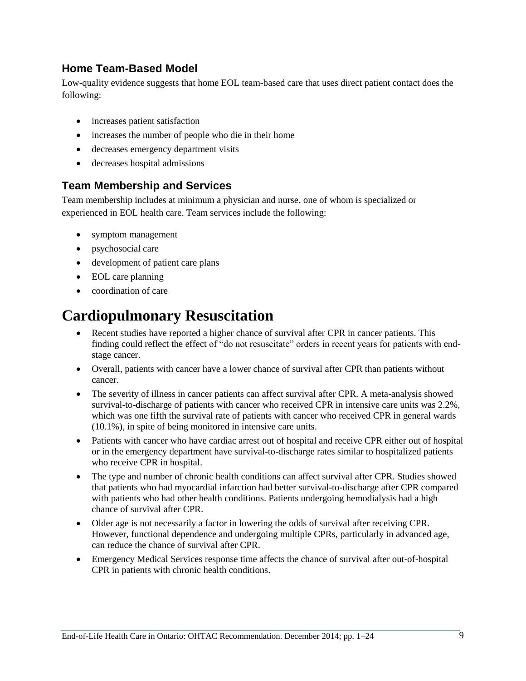## <span id="page-8-0"></span>**Home Team-Based Model**

Low-quality evidence suggests that home EOL team-based care that uses direct patient contact does the following:

- increases patient satisfaction
- increases the number of people who die in their home
- decreases emergency department visits
- decreases hospital admissions

## <span id="page-8-1"></span>**Team Membership and Services**

Team membership includes at minimum a physician and nurse, one of whom is specialized or experienced in EOL health care. Team services include the following:

- symptom management
- psychosocial care
- development of patient care plans
- EOL care planning
- coordination of care

## <span id="page-8-2"></span>**Cardiopulmonary Resuscitation**

- Recent studies have reported a higher chance of survival after CPR in cancer patients. This finding could reflect the effect of "do not resuscitate" orders in recent years for patients with endstage cancer.
- Overall, patients with cancer have a lower chance of survival after CPR than patients without cancer.
- The severity of illness in cancer patients can affect survival after CPR. A meta-analysis showed survival-to-discharge of patients with cancer who received CPR in intensive care units was 2.2%, which was one fifth the survival rate of patients with cancer who received CPR in general wards (10.1%), in spite of being monitored in intensive care units.
- Patients with cancer who have cardiac arrest out of hospital and receive CPR either out of hospital or in the emergency department have survival-to-discharge rates similar to hospitalized patients who receive CPR in hospital.
- The type and number of chronic health conditions can affect survival after CPR. Studies showed that patients who had myocardial infarction had better survival-to-discharge after CPR compared with patients who had other health conditions. Patients undergoing hemodialysis had a high chance of survival after CPR.
- Older age is not necessarily a factor in lowering the odds of survival after receiving CPR. However, functional dependence and undergoing multiple CPRs, particularly in advanced age, can reduce the chance of survival after CPR.
- Emergency Medical Services response time affects the chance of survival after out-of-hospital CPR in patients with chronic health conditions.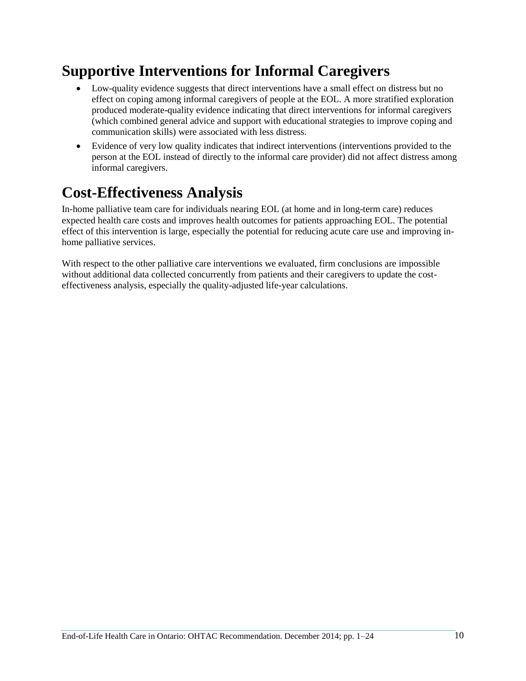# <span id="page-9-0"></span>**Supportive Interventions for Informal Caregivers**

- Low-quality evidence suggests that direct interventions have a small effect on distress but no effect on coping among informal caregivers of people at the EOL. A more stratified exploration produced moderate-quality evidence indicating that direct interventions for informal caregivers (which combined general advice and support with educational strategies to improve coping and communication skills) were associated with less distress.
- Evidence of very low quality indicates that indirect interventions (interventions provided to the person at the EOL instead of directly to the informal care provider) did not affect distress among informal caregivers.

## <span id="page-9-1"></span>**Cost-Effectiveness Analysis**

In-home palliative team care for individuals nearing EOL (at home and in long-term care) reduces expected health care costs and improves health outcomes for patients approaching EOL. The potential effect of this intervention is large, especially the potential for reducing acute care use and improving inhome palliative services.

With respect to the other palliative care interventions we evaluated, firm conclusions are impossible without additional data collected concurrently from patients and their caregivers to update the costeffectiveness analysis, especially the quality-adjusted life-year calculations.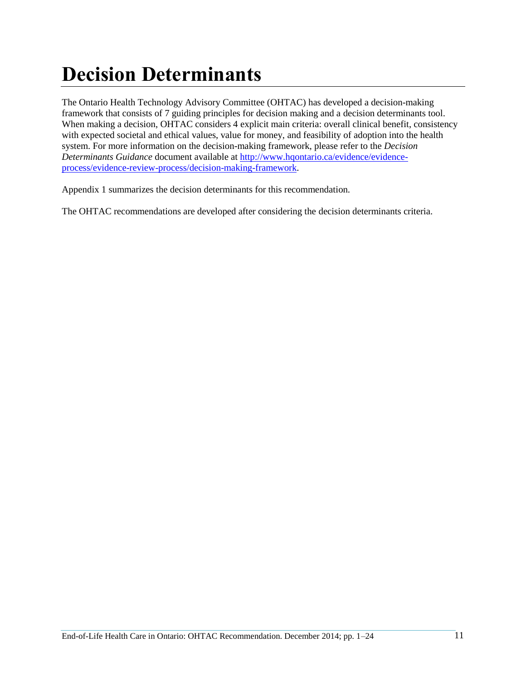# <span id="page-10-0"></span>**Decision Determinants**

The Ontario Health Technology Advisory Committee (OHTAC) has developed a decision-making framework that consists of 7 guiding principles for decision making and a decision determinants tool. When making a decision, OHTAC considers 4 explicit main criteria: overall clinical benefit, consistency with expected societal and ethical values, value for money, and feasibility of adoption into the health system. For more information on the decision-making framework, please refer to the *Decision Determinants Guidance* document available at [http://www.hqontario.ca/evidence/evidence](http://www.hqontario.ca/evidence/evidence-process/evidence-review-process/decision-making-framework)[process/evidence-review-process/decision-making-framework.](http://www.hqontario.ca/evidence/evidence-process/evidence-review-process/decision-making-framework)

Appendix 1 summarizes the decision determinants for this recommendation.

The OHTAC recommendations are developed after considering the decision determinants criteria.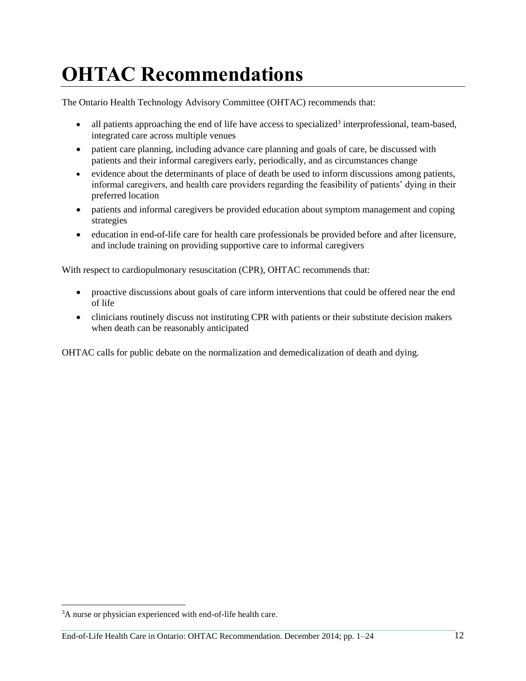# <span id="page-11-0"></span>**OHTAC Recommendations**

The Ontario Health Technology Advisory Committee (OHTAC) recommends that:

- $\bullet$  all patients approaching the end of life have access to specialized<sup>3</sup> interprofessional, team-based, integrated care across multiple venues
- patient care planning, including advance care planning and goals of care, be discussed with patients and their informal caregivers early, periodically, and as circumstances change
- evidence about the determinants of place of death be used to inform discussions among patients, informal caregivers, and health care providers regarding the feasibility of patients' dying in their preferred location
- patients and informal caregivers be provided education about symptom management and coping strategies
- education in end-of-life care for health care professionals be provided before and after licensure, and include training on providing supportive care to informal caregivers

With respect to cardiopulmonary resuscitation (CPR), OHTAC recommends that:

- proactive discussions about goals of care inform interventions that could be offered near the end of life
- clinicians routinely discuss not instituting CPR with patients or their substitute decision makers when death can be reasonably anticipated

OHTAC calls for public debate on the normalization and demedicalization of death and dying.

l

<sup>&</sup>lt;sup>3</sup>A nurse or physician experienced with end-of-life health care.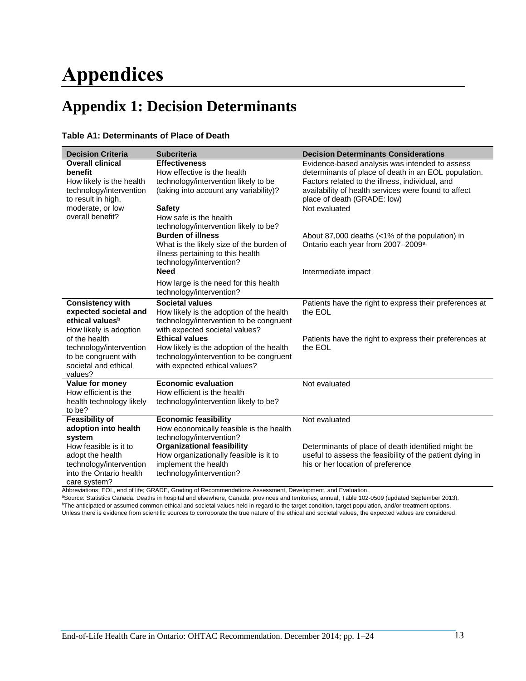# <span id="page-12-0"></span>**Appendices**

# <span id="page-12-1"></span>**Appendix 1: Decision Determinants**

|  | Table A1: Determinants of Place of Death |  |  |  |
|--|------------------------------------------|--|--|--|
|--|------------------------------------------|--|--|--|

| <b>Decision Criteria</b>                                                                                                            | <b>Subcriteria</b>                                                                                                                                                                                                      | <b>Decision Determinants Considerations</b>                                                                                                                                                                                                                       |
|-------------------------------------------------------------------------------------------------------------------------------------|-------------------------------------------------------------------------------------------------------------------------------------------------------------------------------------------------------------------------|-------------------------------------------------------------------------------------------------------------------------------------------------------------------------------------------------------------------------------------------------------------------|
| <b>Overall clinical</b><br>benefit<br>How likely is the health<br>technology/intervention<br>to result in high,<br>moderate, or low | <b>Effectiveness</b><br>How effective is the health<br>technology/intervention likely to be<br>(taking into account any variability)?<br><b>Safety</b>                                                                  | Evidence-based analysis was intended to assess<br>determinants of place of death in an EOL population.<br>Factors related to the illness, individual, and<br>availability of health services were found to affect<br>place of death (GRADE: low)<br>Not evaluated |
| overall benefit?                                                                                                                    | How safe is the health<br>technology/intervention likely to be?<br><b>Burden of illness</b><br>What is the likely size of the burden of<br>illness pertaining to this health<br>technology/intervention?<br><b>Need</b> | About 87,000 deaths (<1% of the population) in<br>Ontario each year from 2007-2009 <sup>a</sup><br>Intermediate impact                                                                                                                                            |
|                                                                                                                                     | How large is the need for this health<br>technology/intervention?                                                                                                                                                       |                                                                                                                                                                                                                                                                   |
| <b>Consistency with</b><br>expected societal and<br>ethical values <sup>b</sup><br>How likely is adoption                           | <b>Societal values</b><br>How likely is the adoption of the health<br>technology/intervention to be congruent<br>with expected societal values?                                                                         | Patients have the right to express their preferences at<br>the EOL                                                                                                                                                                                                |
| of the health<br>technology/intervention<br>to be congruent with<br>societal and ethical<br>values?                                 | <b>Ethical values</b><br>How likely is the adoption of the health<br>technology/intervention to be congruent<br>with expected ethical values?                                                                           | Patients have the right to express their preferences at<br>the EOL                                                                                                                                                                                                |
| Value for money<br>How efficient is the<br>health technology likely<br>to be?                                                       | <b>Economic evaluation</b><br>How efficient is the health<br>technology/intervention likely to be?                                                                                                                      | Not evaluated                                                                                                                                                                                                                                                     |
| <b>Feasibility of</b><br>adoption into health<br>system                                                                             | <b>Economic feasibility</b><br>How economically feasible is the health<br>technology/intervention?                                                                                                                      | Not evaluated                                                                                                                                                                                                                                                     |
| How feasible is it to<br>adopt the health<br>technology/intervention<br>into the Ontario health<br>care system?                     | <b>Organizational feasibility</b><br>How organizationally feasible is it to<br>implement the health<br>technology/intervention?                                                                                         | Determinants of place of death identified might be<br>useful to assess the feasibility of the patient dying in<br>his or her location of preference                                                                                                               |

Abbreviations: EOL, end of life; GRADE, Grading of Recommendations Assessment, Development, and Evaluation.

<sup>a</sup>Source: Statistics Canada. Deaths in hospital and elsewhere, Canada, provinces and territories, annual, Table 102-0509 (updated September 2013). <sup>b</sup>The anticipated or assumed common ethical and societal values held in regard to the target condition, target population, and/or treatment options. Unless there is evidence from scientific sources to corroborate the true nature of the ethical and societal values, the expected values are considered.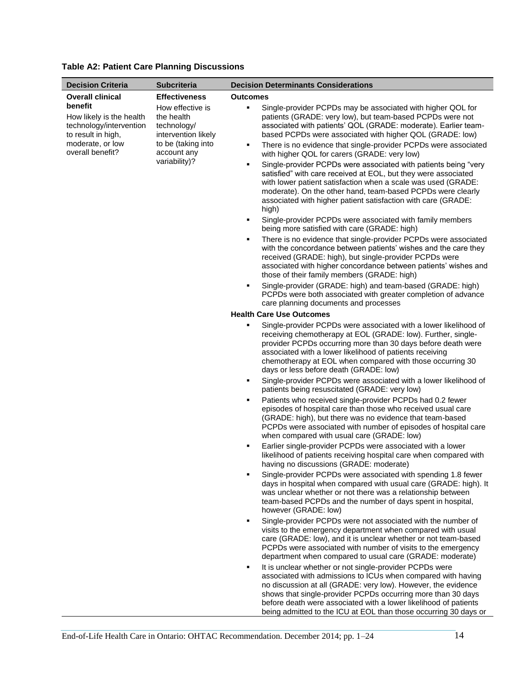| <b>Decision Criteria</b>                                                                                                                                | <b>Subcriteria</b>                                                                                                                                 | <b>Decision Determinants Considerations</b>                                                                                                                                                                                                                                                                                                                                                                                                                                                                                                                                                                                                                                                                                                                                                                                                                                                                                                                                                                                                                                                                                                                                                         |
|---------------------------------------------------------------------------------------------------------------------------------------------------------|----------------------------------------------------------------------------------------------------------------------------------------------------|-----------------------------------------------------------------------------------------------------------------------------------------------------------------------------------------------------------------------------------------------------------------------------------------------------------------------------------------------------------------------------------------------------------------------------------------------------------------------------------------------------------------------------------------------------------------------------------------------------------------------------------------------------------------------------------------------------------------------------------------------------------------------------------------------------------------------------------------------------------------------------------------------------------------------------------------------------------------------------------------------------------------------------------------------------------------------------------------------------------------------------------------------------------------------------------------------------|
| <b>Overall clinical</b><br>benefit<br>How likely is the health<br>technology/intervention<br>to result in high,<br>moderate, or low<br>overall benefit? | <b>Effectiveness</b><br>How effective is<br>the health<br>technology/<br>intervention likely<br>to be (taking into<br>account any<br>variability)? | <b>Outcomes</b><br>Single-provider PCPDs may be associated with higher QOL for<br>٠<br>patients (GRADE: very low), but team-based PCPDs were not<br>associated with patients' QOL (GRADE: moderate). Earlier team-<br>based PCPDs were associated with higher QOL (GRADE: low)<br>There is no evidence that single-provider PCPDs were associated<br>٠<br>with higher QOL for carers (GRADE: very low)<br>Single-provider PCPDs were associated with patients being "very<br>٠<br>satisfied" with care received at EOL, but they were associated<br>with lower patient satisfaction when a scale was used (GRADE:<br>moderate). On the other hand, team-based PCPDs were clearly<br>associated with higher patient satisfaction with care (GRADE:<br>high)<br>Single-provider PCPDs were associated with family members<br>٠<br>being more satisfied with care (GRADE: high)<br>There is no evidence that single-provider PCPDs were associated<br>٠<br>with the concordance between patients' wishes and the care they<br>received (GRADE: high), but single-provider PCPDs were<br>associated with higher concordance between patients' wishes and<br>those of their family members (GRADE: high) |
|                                                                                                                                                         |                                                                                                                                                    | Single-provider (GRADE: high) and team-based (GRADE: high)<br>٠<br>PCPDs were both associated with greater completion of advance<br>care planning documents and processes                                                                                                                                                                                                                                                                                                                                                                                                                                                                                                                                                                                                                                                                                                                                                                                                                                                                                                                                                                                                                           |
|                                                                                                                                                         |                                                                                                                                                    | <b>Health Care Use Outcomes</b>                                                                                                                                                                                                                                                                                                                                                                                                                                                                                                                                                                                                                                                                                                                                                                                                                                                                                                                                                                                                                                                                                                                                                                     |
|                                                                                                                                                         |                                                                                                                                                    | Single-provider PCPDs were associated with a lower likelihood of<br>٠<br>receiving chemotherapy at EOL (GRADE: low). Further, single-<br>provider PCPDs occurring more than 30 days before death were<br>associated with a lower likelihood of patients receiving<br>chemotherapy at EOL when compared with those occurring 30<br>days or less before death (GRADE: low)                                                                                                                                                                                                                                                                                                                                                                                                                                                                                                                                                                                                                                                                                                                                                                                                                            |
|                                                                                                                                                         |                                                                                                                                                    | Single-provider PCPDs were associated with a lower likelihood of<br>٠<br>patients being resuscitated (GRADE: very low)                                                                                                                                                                                                                                                                                                                                                                                                                                                                                                                                                                                                                                                                                                                                                                                                                                                                                                                                                                                                                                                                              |
|                                                                                                                                                         |                                                                                                                                                    | Patients who received single-provider PCPDs had 0.2 fewer<br>п<br>episodes of hospital care than those who received usual care<br>(GRADE: high), but there was no evidence that team-based<br>PCPDs were associated with number of episodes of hospital care<br>when compared with usual care (GRADE: low)                                                                                                                                                                                                                                                                                                                                                                                                                                                                                                                                                                                                                                                                                                                                                                                                                                                                                          |
|                                                                                                                                                         |                                                                                                                                                    | Earlier single-provider PCPDs were associated with a lower<br>٠<br>likelihood of patients receiving hospital care when compared with<br>having no discussions (GRADE: moderate)                                                                                                                                                                                                                                                                                                                                                                                                                                                                                                                                                                                                                                                                                                                                                                                                                                                                                                                                                                                                                     |
|                                                                                                                                                         |                                                                                                                                                    | Single-provider PCPDs were associated with spending 1.8 fewer<br>п<br>days in hospital when compared with usual care (GRADE: high). It<br>was unclear whether or not there was a relationship between<br>team-based PCPDs and the number of days spent in hospital,<br>however (GRADE: low)                                                                                                                                                                                                                                                                                                                                                                                                                                                                                                                                                                                                                                                                                                                                                                                                                                                                                                         |
|                                                                                                                                                         |                                                                                                                                                    | Single-provider PCPDs were not associated with the number of<br>٠<br>visits to the emergency department when compared with usual<br>care (GRADE: low), and it is unclear whether or not team-based<br>PCPDs were associated with number of visits to the emergency<br>department when compared to usual care (GRADE: moderate)                                                                                                                                                                                                                                                                                                                                                                                                                                                                                                                                                                                                                                                                                                                                                                                                                                                                      |
|                                                                                                                                                         |                                                                                                                                                    | It is unclear whether or not single-provider PCPDs were<br>٠<br>associated with admissions to ICUs when compared with having<br>no discussion at all (GRADE: very low). However, the evidence<br>shows that single-provider PCPDs occurring more than 30 days<br>before death were associated with a lower likelihood of patients<br>being admitted to the ICU at EOL than those occurring 30 days or                                                                                                                                                                                                                                                                                                                                                                                                                                                                                                                                                                                                                                                                                                                                                                                               |

### **Table A2: Patient Care Planning Discussions**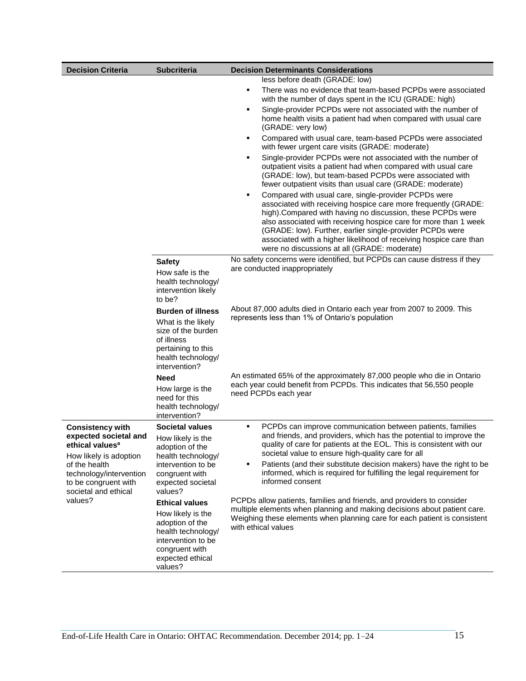| <b>Decision Criteria</b>                                                           | <b>Subcriteria</b>                                                                                                                              | <b>Decision Determinants Considerations</b>                                                                                                                                                                                                                                                                                                                                                                                                       |
|------------------------------------------------------------------------------------|-------------------------------------------------------------------------------------------------------------------------------------------------|---------------------------------------------------------------------------------------------------------------------------------------------------------------------------------------------------------------------------------------------------------------------------------------------------------------------------------------------------------------------------------------------------------------------------------------------------|
|                                                                                    |                                                                                                                                                 | less before death (GRADE: low)                                                                                                                                                                                                                                                                                                                                                                                                                    |
|                                                                                    |                                                                                                                                                 | There was no evidence that team-based PCPDs were associated<br>٠<br>with the number of days spent in the ICU (GRADE: high)                                                                                                                                                                                                                                                                                                                        |
|                                                                                    |                                                                                                                                                 | Single-provider PCPDs were not associated with the number of<br>٠<br>home health visits a patient had when compared with usual care<br>(GRADE: very low)                                                                                                                                                                                                                                                                                          |
|                                                                                    |                                                                                                                                                 | Compared with usual care, team-based PCPDs were associated<br>٠<br>with fewer urgent care visits (GRADE: moderate)                                                                                                                                                                                                                                                                                                                                |
|                                                                                    |                                                                                                                                                 | Single-provider PCPDs were not associated with the number of<br>٠<br>outpatient visits a patient had when compared with usual care<br>(GRADE: low), but team-based PCPDs were associated with<br>fewer outpatient visits than usual care (GRADE: moderate)                                                                                                                                                                                        |
|                                                                                    |                                                                                                                                                 | Compared with usual care, single-provider PCPDs were<br>٠<br>associated with receiving hospice care more frequently (GRADE:<br>high). Compared with having no discussion, these PCPDs were<br>also associated with receiving hospice care for more than 1 week<br>(GRADE: low). Further, earlier single-provider PCPDs were<br>associated with a higher likelihood of receiving hospice care than<br>were no discussions at all (GRADE: moderate) |
|                                                                                    | <b>Safety</b>                                                                                                                                   | No safety concerns were identified, but PCPDs can cause distress if they                                                                                                                                                                                                                                                                                                                                                                          |
|                                                                                    | How safe is the                                                                                                                                 | are conducted inappropriately                                                                                                                                                                                                                                                                                                                                                                                                                     |
|                                                                                    | health technology/<br>intervention likely<br>to be?                                                                                             |                                                                                                                                                                                                                                                                                                                                                                                                                                                   |
|                                                                                    | <b>Burden of illness</b><br>What is the likely<br>size of the burden<br>of illness<br>pertaining to this<br>health technology/<br>intervention? | About 87,000 adults died in Ontario each year from 2007 to 2009. This<br>represents less than 1% of Ontario's population                                                                                                                                                                                                                                                                                                                          |
|                                                                                    | Need                                                                                                                                            | An estimated 65% of the approximately 87,000 people who die in Ontario                                                                                                                                                                                                                                                                                                                                                                            |
|                                                                                    | How large is the<br>need for this<br>health technology/<br>intervention?                                                                        | each year could benefit from PCPDs. This indicates that 56,550 people<br>need PCPDs each year                                                                                                                                                                                                                                                                                                                                                     |
| <b>Consistency with</b>                                                            | <b>Societal values</b>                                                                                                                          | PCPDs can improve communication between patients, families<br>٠                                                                                                                                                                                                                                                                                                                                                                                   |
| expected societal and<br>ethical values <sup>a</sup><br>How likely is adoption     | How likely is the<br>adoption of the<br>health technology/                                                                                      | and friends, and providers, which has the potential to improve the<br>quality of care for patients at the EOL. This is consistent with our<br>societal value to ensure high-quality care for all                                                                                                                                                                                                                                                  |
| of the health                                                                      | intervention to be                                                                                                                              | Patients (and their substitute decision makers) have the right to be                                                                                                                                                                                                                                                                                                                                                                              |
| technology/intervention<br>to be congruent with<br>societal and ethical<br>values? | congruent with<br>expected societal<br>values?                                                                                                  | informed, which is required for fulfilling the legal requirement for<br>informed consent                                                                                                                                                                                                                                                                                                                                                          |
|                                                                                    | <b>Ethical values</b>                                                                                                                           | PCPDs allow patients, families and friends, and providers to consider                                                                                                                                                                                                                                                                                                                                                                             |
|                                                                                    | How likely is the<br>adoption of the<br>health technology/<br>intervention to be                                                                | multiple elements when planning and making decisions about patient care.<br>Weighing these elements when planning care for each patient is consistent<br>with ethical values                                                                                                                                                                                                                                                                      |
|                                                                                    | congruent with<br>expected ethical<br>values?                                                                                                   |                                                                                                                                                                                                                                                                                                                                                                                                                                                   |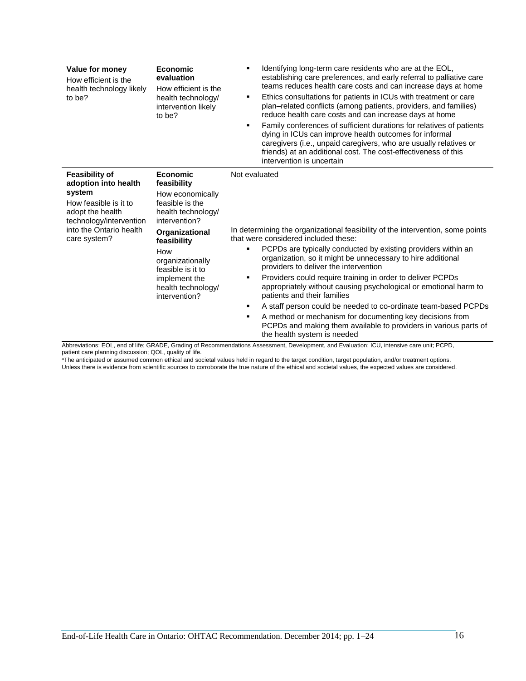| Value for money<br>How efficient is the<br>health technology likely<br>to be?                                                                                              | <b>Economic</b><br>evaluation<br>How efficient is the<br>health technology/<br>intervention likely<br>to be?                                                                                                                                          | Identifying long-term care residents who are at the EOL,<br>٠<br>establishing care preferences, and early referral to palliative care<br>teams reduces health care costs and can increase days at home<br>Ethics consultations for patients in ICUs with treatment or care<br>٠<br>plan–related conflicts (among patients, providers, and families)<br>reduce health care costs and can increase days at home<br>Family conferences of sufficient durations for relatives of patients<br>٠<br>dying in ICUs can improve health outcomes for informal<br>caregivers (i.e., unpaid caregivers, who are usually relatives or<br>friends) at an additional cost. The cost-effectiveness of this<br>intervention is uncertain               |
|----------------------------------------------------------------------------------------------------------------------------------------------------------------------------|-------------------------------------------------------------------------------------------------------------------------------------------------------------------------------------------------------------------------------------------------------|----------------------------------------------------------------------------------------------------------------------------------------------------------------------------------------------------------------------------------------------------------------------------------------------------------------------------------------------------------------------------------------------------------------------------------------------------------------------------------------------------------------------------------------------------------------------------------------------------------------------------------------------------------------------------------------------------------------------------------------|
| <b>Feasibility of</b><br>adoption into health<br>system<br>How feasible is it to<br>adopt the health<br>technology/intervention<br>into the Ontario health<br>care system? | <b>Economic</b><br>feasibility<br>How economically<br>feasible is the<br>health technology/<br>intervention?<br>Organizational<br>feasibility<br>How<br>organizationally<br>feasible is it to<br>implement the<br>health technology/<br>intervention? | Not evaluated<br>In determining the organizational feasibility of the intervention, some points<br>that were considered included these:<br>PCPDs are typically conducted by existing providers within an<br>٠<br>organization, so it might be unnecessary to hire additional<br>providers to deliver the intervention<br>Providers could require training in order to deliver PCPDs<br>٠<br>appropriately without causing psychological or emotional harm to<br>patients and their families<br>A staff person could be needed to co-ordinate team-based PCPDs<br>٠<br>A method or mechanism for documenting key decisions from<br>٠<br>PCPDs and making them available to providers in various parts of<br>the health system is needed |

Abbreviations: EOL, end of life; GRADE, Grading of Recommendations Assessment, Development, and Evaluation; ICU, intensive care unit; PCPD, patient care planning discussion; QOL, quality of life.

<sup>a</sup>The anticipated or assumed common ethical and societal values held in regard to the target condition, target population, and/or treatment options. Unless there is evidence from scientific sources to corroborate the true nature of the ethical and societal values, the expected values are considered.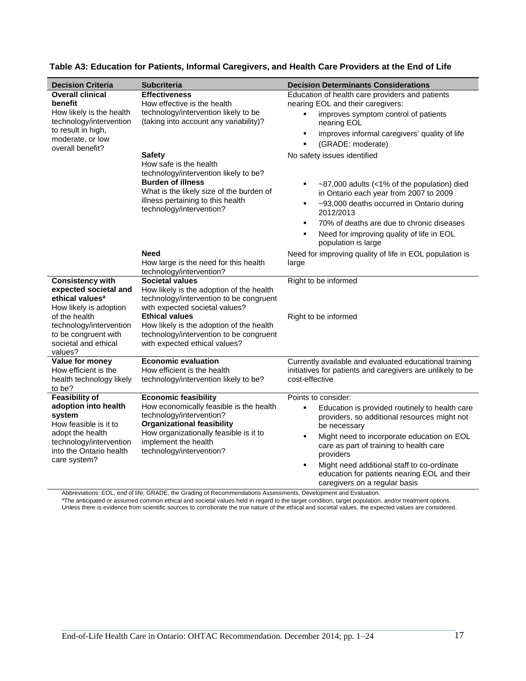| <b>Decision Criteria</b>                                                                                                                                                                                         | <b>Subcriteria</b>                                                                                                                                                                                                                                                                               | <b>Decision Determinants Considerations</b>                                                                                                                                                                                                                                                                                                                                                            |
|------------------------------------------------------------------------------------------------------------------------------------------------------------------------------------------------------------------|--------------------------------------------------------------------------------------------------------------------------------------------------------------------------------------------------------------------------------------------------------------------------------------------------|--------------------------------------------------------------------------------------------------------------------------------------------------------------------------------------------------------------------------------------------------------------------------------------------------------------------------------------------------------------------------------------------------------|
| <b>Overall clinical</b><br>benefit<br>How likely is the health<br>technology/intervention<br>to result in high,<br>moderate, or low<br>overall benefit?                                                          | <b>Effectiveness</b><br>How effective is the health<br>technology/intervention likely to be<br>(taking into account any variability)?                                                                                                                                                            | Education of health care providers and patients<br>nearing EOL and their caregivers:<br>improves symptom control of patients<br>nearing EOL<br>improves informal caregivers' quality of life<br>٠<br>(GRADE: moderate)                                                                                                                                                                                 |
|                                                                                                                                                                                                                  | <b>Safety</b><br>How safe is the health<br>technology/intervention likely to be?<br><b>Burden of illness</b><br>What is the likely size of the burden of<br>illness pertaining to this health<br>technology/intervention?                                                                        | No safety issues identified<br>~87,000 adults (<1% of the population) died<br>in Ontario each year from 2007 to 2009<br>~93,000 deaths occurred in Ontario during<br>٠<br>2012/2013<br>70% of deaths are due to chronic diseases<br>٠<br>Need for improving quality of life in EOL<br>٠<br>population is large                                                                                         |
|                                                                                                                                                                                                                  | <b>Need</b><br>How large is the need for this health<br>technology/intervention?                                                                                                                                                                                                                 | Need for improving quality of life in EOL population is<br>large                                                                                                                                                                                                                                                                                                                                       |
| <b>Consistency with</b><br>expected societal and<br>ethical values <sup>a</sup><br>How likely is adoption<br>of the health<br>technology/intervention<br>to be congruent with<br>societal and ethical<br>values? | <b>Societal values</b><br>How likely is the adoption of the health<br>technology/intervention to be congruent<br>with expected societal values?<br><b>Ethical values</b><br>How likely is the adoption of the health<br>technology/intervention to be congruent<br>with expected ethical values? | Right to be informed<br>Right to be informed                                                                                                                                                                                                                                                                                                                                                           |
| Value for money<br>How efficient is the<br>health technology likely<br>to be?                                                                                                                                    | <b>Economic evaluation</b><br>How efficient is the health<br>technology/intervention likely to be?                                                                                                                                                                                               | Currently available and evaluated educational training<br>initiatives for patients and caregivers are unlikely to be<br>cost-effective                                                                                                                                                                                                                                                                 |
| <b>Feasibility of</b><br>adoption into health<br>system<br>How feasible is it to<br>adopt the health<br>technology/intervention<br>into the Ontario health<br>care system?                                       | <b>Economic feasibility</b><br>How economically feasible is the health<br>technology/intervention?<br><b>Organizational feasibility</b><br>How organizationally feasible is it to<br>implement the health<br>technology/intervention?                                                            | Points to consider:<br>Education is provided routinely to health care<br>٠<br>providers, so additional resources might not<br>be necessary<br>Might need to incorporate education on EOL<br>$\blacksquare$<br>care as part of training to health care<br>providers<br>Might need additional staff to co-ordinate<br>п<br>education for patients nearing EOL and their<br>caregivers on a regular basis |

### **Table A3: Education for Patients, Informal Caregivers, and Health Care Providers at the End of Life**

Abbreviations: EOL, end of life; GRADE, the Grading of Recommendations Assessments, Development and Evaluation.

<sup>a</sup>The anticipated or assumed common ethical and societal values held in regard to the target condition, target population, and/or treatment options. Unless there is evidence from scientific sources to corroborate the true nature of the ethical and societal values, the expected values are considered.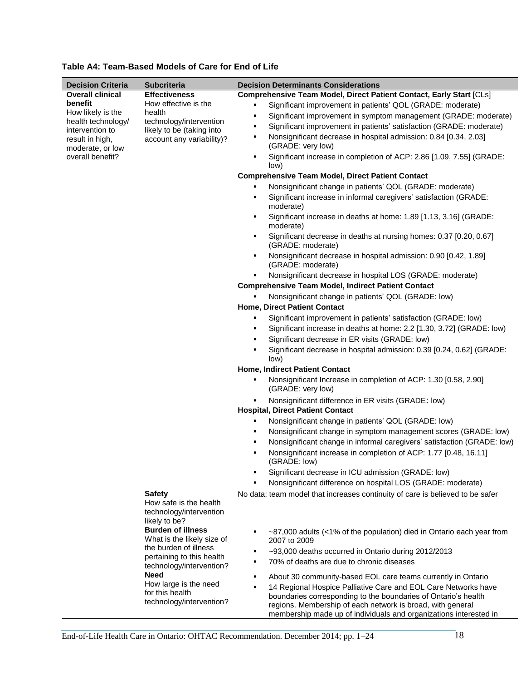| <b>Decision Criteria</b>                                                        | <b>Subcriteria</b>                                                                          | <b>Decision Determinants Considerations</b>                                                                                                                                                       |
|---------------------------------------------------------------------------------|---------------------------------------------------------------------------------------------|---------------------------------------------------------------------------------------------------------------------------------------------------------------------------------------------------|
| <b>Overall clinical</b>                                                         | <b>Effectiveness</b>                                                                        | Comprehensive Team Model, Direct Patient Contact, Early Start [CLs]                                                                                                                               |
| benefit                                                                         | How effective is the                                                                        | Significant improvement in patients' QOL (GRADE: moderate)                                                                                                                                        |
| How likely is the                                                               | health                                                                                      | Significant improvement in symptom management (GRADE: moderate)<br>٠                                                                                                                              |
| health technology/<br>intervention to                                           | technology/intervention<br>likely to be (taking into                                        | Significant improvement in patients' satisfaction (GRADE: moderate)                                                                                                                               |
| result in high,<br>moderate, or low                                             | account any variability)?                                                                   | Nonsignificant decrease in hospital admission: 0.84 [0.34, 2.03]<br>٠<br>(GRADE: very low)                                                                                                        |
| overall benefit?                                                                |                                                                                             | Significant increase in completion of ACP: 2.86 [1.09, 7.55] (GRADE:<br>٠<br>low)                                                                                                                 |
|                                                                                 |                                                                                             | <b>Comprehensive Team Model, Direct Patient Contact</b>                                                                                                                                           |
|                                                                                 |                                                                                             | Nonsignificant change in patients' QOL (GRADE: moderate)                                                                                                                                          |
|                                                                                 |                                                                                             | Significant increase in informal caregivers' satisfaction (GRADE:<br>٠                                                                                                                            |
|                                                                                 |                                                                                             | moderate)<br>Significant increase in deaths at home: 1.89 [1.13, 3.16] (GRADE:<br>٠<br>moderate)                                                                                                  |
|                                                                                 |                                                                                             | Significant decrease in deaths at nursing homes: 0.37 [0.20, 0.67]<br>٠<br>(GRADE: moderate)                                                                                                      |
|                                                                                 |                                                                                             | Nonsignificant decrease in hospital admission: 0.90 [0.42, 1.89]<br>٠<br>(GRADE: moderate)                                                                                                        |
|                                                                                 |                                                                                             | Nonsignificant decrease in hospital LOS (GRADE: moderate)                                                                                                                                         |
|                                                                                 |                                                                                             | <b>Comprehensive Team Model, Indirect Patient Contact</b>                                                                                                                                         |
|                                                                                 |                                                                                             | Nonsignificant change in patients' QOL (GRADE: low)                                                                                                                                               |
|                                                                                 |                                                                                             | Home, Direct Patient Contact                                                                                                                                                                      |
|                                                                                 |                                                                                             | Significant improvement in patients' satisfaction (GRADE: low)                                                                                                                                    |
|                                                                                 |                                                                                             | Significant increase in deaths at home: 2.2 [1.30, 3.72] (GRADE: low)                                                                                                                             |
|                                                                                 |                                                                                             | Significant decrease in ER visits (GRADE: low)                                                                                                                                                    |
|                                                                                 |                                                                                             | Significant decrease in hospital admission: 0.39 [0.24, 0.62] (GRADE:                                                                                                                             |
|                                                                                 |                                                                                             | low)                                                                                                                                                                                              |
|                                                                                 |                                                                                             | Home, Indirect Patient Contact                                                                                                                                                                    |
|                                                                                 |                                                                                             | Nonsignificant Increase in completion of ACP: 1.30 [0.58, 2.90]<br>(GRADE: very low)                                                                                                              |
|                                                                                 |                                                                                             | Nonsignificant difference in ER visits (GRADE: low)<br><b>Hospital, Direct Patient Contact</b>                                                                                                    |
|                                                                                 | Nonsignificant change in patients' QOL (GRADE: low)                                         |                                                                                                                                                                                                   |
|                                                                                 | Nonsignificant change in symptom management scores (GRADE: low)                             |                                                                                                                                                                                                   |
|                                                                                 |                                                                                             | Nonsignificant change in informal caregivers' satisfaction (GRADE: low)                                                                                                                           |
|                                                                                 |                                                                                             | Nonsignificant increase in completion of ACP: 1.77 [0.48, 16.11]<br>(GRADE: low)                                                                                                                  |
|                                                                                 |                                                                                             | Significant decrease in ICU admission (GRADE: low)                                                                                                                                                |
|                                                                                 |                                                                                             | Nonsignificant difference on hospital LOS (GRADE: moderate)                                                                                                                                       |
|                                                                                 | <b>Safety</b>                                                                               | No data; team model that increases continuity of care is believed to be safer                                                                                                                     |
|                                                                                 | How safe is the health<br>technology/intervention<br>likely to be?                          |                                                                                                                                                                                                   |
|                                                                                 |                                                                                             |                                                                                                                                                                                                   |
| <b>Burden of illness</b><br>What is the likely size of<br>the burden of illness | $\sim$ 87,000 adults (<1% of the population) died in Ontario each year from<br>2007 to 2009 |                                                                                                                                                                                                   |
|                                                                                 | ~93,000 deaths occurred in Ontario during 2012/2013<br>٠                                    |                                                                                                                                                                                                   |
|                                                                                 | pertaining to this health<br>technology/intervention?<br>Need                               | 70% of deaths are due to chronic diseases                                                                                                                                                         |
|                                                                                 |                                                                                             | About 30 community-based EOL care teams currently in Ontario                                                                                                                                      |
|                                                                                 | How large is the need<br>for this health                                                    | 14 Regional Hospice Palliative Care and EOL Care Networks have<br>٠                                                                                                                               |
|                                                                                 | technology/intervention?                                                                    | boundaries corresponding to the boundaries of Ontario's health<br>regions. Membership of each network is broad, with general<br>membership made up of individuals and organizations interested in |

### **Table A4: Team-Based Models of Care for End of Life**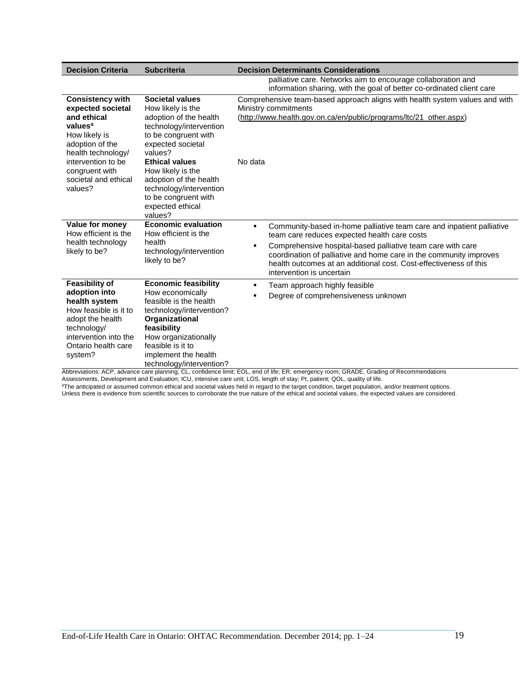| <b>Decision Criteria</b>                                                                                                                                                                                                | <b>Subcriteria</b>                                                                                                                                                                                                                                                                                                 | <b>Decision Determinants Considerations</b>                                                                                                                                                                                                                                                                                                                                         |
|-------------------------------------------------------------------------------------------------------------------------------------------------------------------------------------------------------------------------|--------------------------------------------------------------------------------------------------------------------------------------------------------------------------------------------------------------------------------------------------------------------------------------------------------------------|-------------------------------------------------------------------------------------------------------------------------------------------------------------------------------------------------------------------------------------------------------------------------------------------------------------------------------------------------------------------------------------|
|                                                                                                                                                                                                                         |                                                                                                                                                                                                                                                                                                                    | palliative care. Networks aim to encourage collaboration and<br>information sharing, with the goal of better co-ordinated client care                                                                                                                                                                                                                                               |
| <b>Consistency with</b><br>expected societal<br>and ethical<br>values <sup>a</sup><br>How likely is<br>adoption of the<br>health technology/<br>intervention to be<br>congruent with<br>societal and ethical<br>values? | <b>Societal values</b><br>How likely is the<br>adoption of the health<br>technology/intervention<br>to be congruent with<br>expected societal<br>values?<br><b>Ethical values</b><br>How likely is the<br>adoption of the health<br>technology/intervention<br>to be congruent with<br>expected ethical<br>values? | Comprehensive team-based approach aligns with health system values and with<br>Ministry commitments<br>(http://www.health.gov.on.ca/en/public/programs/ltc/21_other.aspx)<br>No data                                                                                                                                                                                                |
| Value for money<br>How efficient is the<br>health technology<br>likely to be?                                                                                                                                           | <b>Economic evaluation</b><br>How efficient is the<br>health<br>technology/intervention<br>likely to be?                                                                                                                                                                                                           | Community-based in-home palliative team care and inpatient palliative<br>٠<br>team care reduces expected health care costs<br>Comprehensive hospital-based palliative team care with care<br>$\blacksquare$<br>coordination of palliative and home care in the community improves<br>health outcomes at an additional cost. Cost-effectiveness of this<br>intervention is uncertain |
| <b>Feasibility of</b><br>adoption into<br>health system<br>How feasible is it to<br>adopt the health<br>technology/<br>intervention into the<br>Ontario health care<br>system?                                          | <b>Economic feasibility</b><br>How economically<br>feasible is the health<br>technology/intervention?<br>Organizational<br>feasibility<br>How organizationally<br>feasible is it to<br>implement the health<br>technology/intervention?                                                                            | Team approach highly feasible<br>$\blacksquare$<br>Degree of comprehensiveness unknown                                                                                                                                                                                                                                                                                              |

Abbreviations: ACP, advance care planning; CL, confidence limit; EOL, end of life; ER, emergency room; GRADE, Grading of Recommendations

Assessments, Development and Evaluation; ICU, intensive care unit; LOS, length of stay; Pt, patient; QOL, quality of life.

<sup>a</sup>The anticipated or assumed common ethical and societal values held in regard to the target condition, target population, and/or treatment options. Unless there is evidence from scientific sources to corroborate the true nature of the ethical and societal values, the expected values are considered.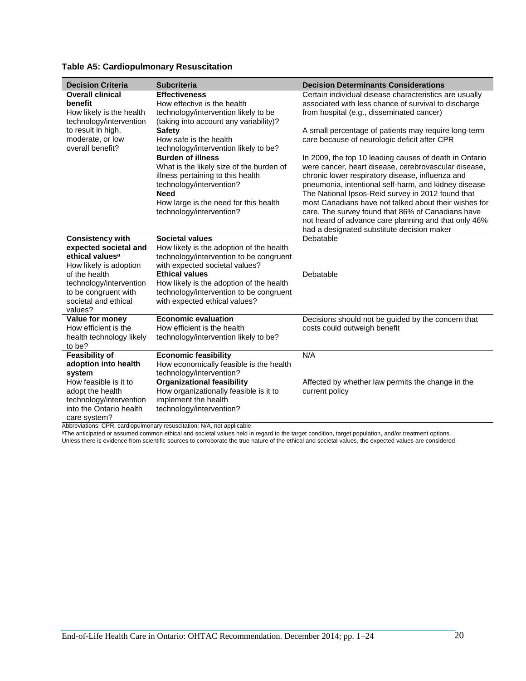| <b>Decision Criteria</b>    | <b>Subcriteria</b>                       | <b>Decision Determinants Considerations</b>            |
|-----------------------------|------------------------------------------|--------------------------------------------------------|
| <b>Overall clinical</b>     | <b>Effectiveness</b>                     | Certain individual disease characteristics are usually |
| benefit                     | How effective is the health              | associated with less chance of survival to discharge   |
| How likely is the health    | technology/intervention likely to be     | from hospital (e.g., disseminated cancer)              |
| technology/intervention     | (taking into account any variability)?   |                                                        |
| to result in high,          | <b>Safety</b>                            | A small percentage of patients may require long-term   |
| moderate, or low            | How safe is the health                   | care because of neurologic deficit after CPR           |
| overall benefit?            | technology/intervention likely to be?    |                                                        |
|                             | <b>Burden of illness</b>                 | In 2009, the top 10 leading causes of death in Ontario |
|                             | What is the likely size of the burden of | were cancer, heart disease, cerebrovascular disease,   |
|                             | illness pertaining to this health        | chronic lower respiratory disease, influenza and       |
|                             | technology/intervention?                 | pneumonia, intentional self-harm, and kidney disease   |
|                             | <b>Need</b>                              | The National Ipsos-Reid survey in 2012 found that      |
|                             | How large is the need for this health    | most Canadians have not talked about their wishes for  |
|                             | technology/intervention?                 | care. The survey found that 86% of Canadians have      |
|                             |                                          | not heard of advance care planning and that only 46%   |
|                             |                                          | had a designated substitute decision maker             |
| <b>Consistency with</b>     | <b>Societal values</b>                   | Debatable                                              |
| expected societal and       | How likely is the adoption of the health |                                                        |
| ethical values <sup>a</sup> | technology/intervention to be congruent  |                                                        |
| How likely is adoption      | with expected societal values?           |                                                        |
| of the health               | <b>Ethical values</b>                    | Debatable                                              |
| technology/intervention     | How likely is the adoption of the health |                                                        |
| to be congruent with        | technology/intervention to be congruent  |                                                        |
| societal and ethical        | with expected ethical values?            |                                                        |
| values?                     |                                          |                                                        |
| Value for money             | <b>Economic evaluation</b>               | Decisions should not be guided by the concern that     |
| How efficient is the        | How efficient is the health              | costs could outweigh benefit                           |
| health technology likely    | technology/intervention likely to be?    |                                                        |
| to be?                      |                                          |                                                        |
| <b>Feasibility of</b>       | <b>Economic feasibility</b>              | N/A                                                    |
| adoption into health        | How economically feasible is the health  |                                                        |
| system                      | technology/intervention?                 |                                                        |
| How feasible is it to       | <b>Organizational feasibility</b>        | Affected by whether law permits the change in the      |
| adopt the health            | How organizationally feasible is it to   | current policy                                         |
| technology/intervention     | implement the health                     |                                                        |
| into the Ontario health     | technology/intervention?                 |                                                        |
| care system?                |                                          |                                                        |

### **Table A5: Cardiopulmonary Resuscitation**

Abbreviations: CPR, cardiopulmonary resuscitation; N/A, not applicable.

<sup>a</sup>The anticipated or assumed common ethical and societal values held in regard to the target condition, target population, and/or treatment options.

Unless there is evidence from scientific sources to corroborate the true nature of the ethical and societal values, the expected values are considered.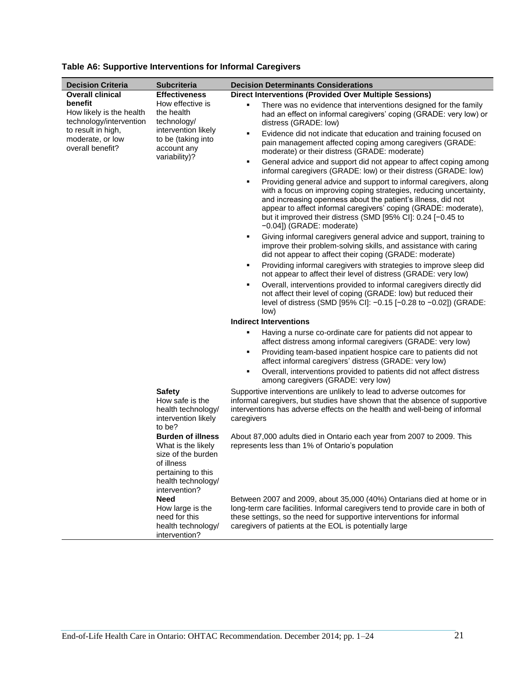| <b>Decision Criteria</b>                                       | <b>Subcriteria</b>                                                                                                                              | <b>Decision Determinants Considerations</b>                                                                                                                                                                                                                                                                                                                                   |
|----------------------------------------------------------------|-------------------------------------------------------------------------------------------------------------------------------------------------|-------------------------------------------------------------------------------------------------------------------------------------------------------------------------------------------------------------------------------------------------------------------------------------------------------------------------------------------------------------------------------|
| <b>Overall clinical</b>                                        | <b>Effectiveness</b>                                                                                                                            | <b>Direct Interventions (Provided Over Multiple Sessions)</b>                                                                                                                                                                                                                                                                                                                 |
| benefit<br>How likely is the health<br>technology/intervention | How effective is<br>the health<br>technology/                                                                                                   | There was no evidence that interventions designed for the family<br>п<br>had an effect on informal caregivers' coping (GRADE: very low) or<br>distress (GRADE: low)                                                                                                                                                                                                           |
| to result in high,<br>moderate, or low<br>overall benefit?     | intervention likely<br>to be (taking into<br>account any<br>variability)?                                                                       | Evidence did not indicate that education and training focused on<br>٠<br>pain management affected coping among caregivers (GRADE:<br>moderate) or their distress (GRADE: moderate)                                                                                                                                                                                            |
|                                                                |                                                                                                                                                 | General advice and support did not appear to affect coping among<br>п<br>informal caregivers (GRADE: low) or their distress (GRADE: low)                                                                                                                                                                                                                                      |
|                                                                |                                                                                                                                                 | Providing general advice and support to informal caregivers, along<br>п<br>with a focus on improving coping strategies, reducing uncertainty,<br>and increasing openness about the patient's illness, did not<br>appear to affect informal caregivers' coping (GRADE: moderate),<br>but it improved their distress (SMD [95% CI]: 0.24 [-0.45 to<br>-0.04]) (GRADE: moderate) |
|                                                                |                                                                                                                                                 | Giving informal caregivers general advice and support, training to<br>٠<br>improve their problem-solving skills, and assistance with caring<br>did not appear to affect their coping (GRADE: moderate)                                                                                                                                                                        |
|                                                                |                                                                                                                                                 | Providing informal caregivers with strategies to improve sleep did<br>not appear to affect their level of distress (GRADE: very low)                                                                                                                                                                                                                                          |
|                                                                |                                                                                                                                                 | Overall, interventions provided to informal caregivers directly did<br>п<br>not affect their level of coping (GRADE: low) but reduced their<br>level of distress (SMD [95% CI]: -0.15 [-0.28 to -0.02]) (GRADE:<br>low)                                                                                                                                                       |
|                                                                |                                                                                                                                                 | <b>Indirect Interventions</b>                                                                                                                                                                                                                                                                                                                                                 |
|                                                                |                                                                                                                                                 | Having a nurse co-ordinate care for patients did not appear to<br>п<br>affect distress among informal caregivers (GRADE: very low)                                                                                                                                                                                                                                            |
|                                                                |                                                                                                                                                 | Providing team-based inpatient hospice care to patients did not<br>п<br>affect informal caregivers' distress (GRADE: very low)                                                                                                                                                                                                                                                |
|                                                                |                                                                                                                                                 | Overall, interventions provided to patients did not affect distress<br>٠<br>among caregivers (GRADE: very low)                                                                                                                                                                                                                                                                |
|                                                                | <b>Safety</b><br>How safe is the<br>health technology/<br>intervention likely<br>to be?                                                         | Supportive interventions are unlikely to lead to adverse outcomes for<br>informal caregivers, but studies have shown that the absence of supportive<br>interventions has adverse effects on the health and well-being of informal<br>caregivers                                                                                                                               |
|                                                                | <b>Burden of illness</b><br>What is the likely<br>size of the burden<br>of illness<br>pertaining to this<br>health technology/<br>intervention? | About 87,000 adults died in Ontario each year from 2007 to 2009. This<br>represents less than 1% of Ontario's population                                                                                                                                                                                                                                                      |
|                                                                | <b>Need</b><br>How large is the<br>need for this<br>health technology/<br>intervention?                                                         | Between 2007 and 2009, about 35,000 (40%) Ontarians died at home or in<br>long-term care facilities. Informal caregivers tend to provide care in both of<br>these settings, so the need for supportive interventions for informal<br>caregivers of patients at the EOL is potentially large                                                                                   |

### **Table A6: Supportive Interventions for Informal Caregivers**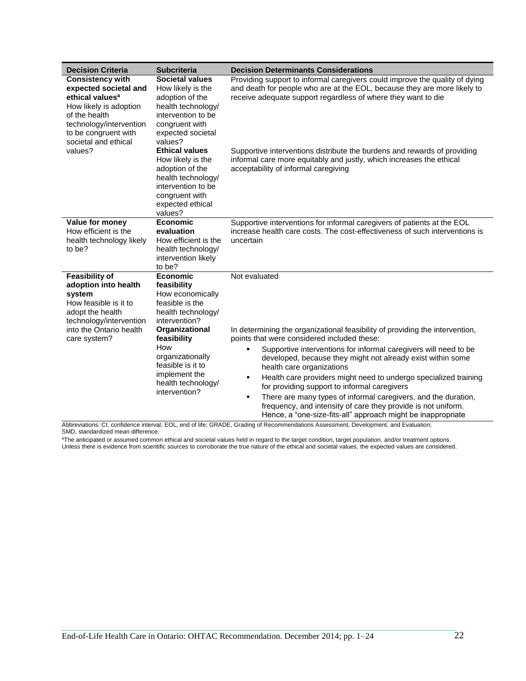| <b>Decision Criteria</b>                                                                                                                                                                              | <b>Subcriteria</b>                                                                                                                                                                                                                                    | <b>Decision Determinants Considerations</b>                                                                                                                                                                                                                                                                                                                                                                                                                                                                                                                                                                                                        |  |
|-------------------------------------------------------------------------------------------------------------------------------------------------------------------------------------------------------|-------------------------------------------------------------------------------------------------------------------------------------------------------------------------------------------------------------------------------------------------------|----------------------------------------------------------------------------------------------------------------------------------------------------------------------------------------------------------------------------------------------------------------------------------------------------------------------------------------------------------------------------------------------------------------------------------------------------------------------------------------------------------------------------------------------------------------------------------------------------------------------------------------------------|--|
| <b>Consistency with</b><br>expected societal and<br>ethical values <sup>a</sup><br>How likely is adoption<br>of the health<br>technology/intervention<br>to be congruent with<br>societal and ethical | <b>Societal values</b><br>How likely is the<br>adoption of the<br>health technology/<br>intervention to be<br>congruent with<br>expected societal<br>values?                                                                                          | Providing support to informal caregivers could improve the quality of dying<br>and death for people who are at the EOL, because they are more likely to<br>receive adequate support regardless of where they want to die                                                                                                                                                                                                                                                                                                                                                                                                                           |  |
| values?                                                                                                                                                                                               | <b>Ethical values</b><br>How likely is the<br>adoption of the<br>health technology/<br>intervention to be<br>congruent with<br>expected ethical<br>values?                                                                                            | Supportive interventions distribute the burdens and rewards of providing<br>informal care more equitably and justly, which increases the ethical<br>acceptability of informal caregiving                                                                                                                                                                                                                                                                                                                                                                                                                                                           |  |
| Value for money<br>How efficient is the<br>health technology likely<br>to be?                                                                                                                         | <b>Economic</b><br>evaluation<br>How efficient is the<br>health technology/<br>intervention likely<br>to be?                                                                                                                                          | Supportive interventions for informal caregivers of patients at the EOL<br>increase health care costs. The cost-effectiveness of such interventions is<br>uncertain                                                                                                                                                                                                                                                                                                                                                                                                                                                                                |  |
| <b>Feasibility of</b><br>adoption into health<br>system<br>How feasible is it to<br>adopt the health<br>technology/intervention<br>into the Ontario health<br>care system?                            | <b>Economic</b><br>feasibility<br>How economically<br>feasible is the<br>health technology/<br>intervention?<br>Organizational<br>feasibility<br>How<br>organizationally<br>feasible is it to<br>implement the<br>health technology/<br>intervention? | Not evaluated<br>In determining the organizational feasibility of providing the intervention,<br>points that were considered included these:<br>Supportive interventions for informal caregivers will need to be<br>п<br>developed, because they might not already exist within some<br>health care organizations<br>Health care providers might need to undergo specialized training<br>٠<br>for providing support to informal caregivers<br>There are many types of informal caregivers, and the duration,<br>٠<br>frequency, and intensity of care they provide is not uniform.<br>Hence, a "one-size-fits-all" approach might be inappropriate |  |

Abbreviations: CI, confidence interval; EOL, end of life; GRADE, Grading of Recommendations Assessment, Development, and Evaluation; SMD, standardized mean difference.

<sup>a</sup>The anticipated or assumed common ethical and societal values held in regard to the target condition, target population, and/or treatment options. Unless there is evidence from scientific sources to corroborate the true nature of the ethical and societal values, the expected values are considered.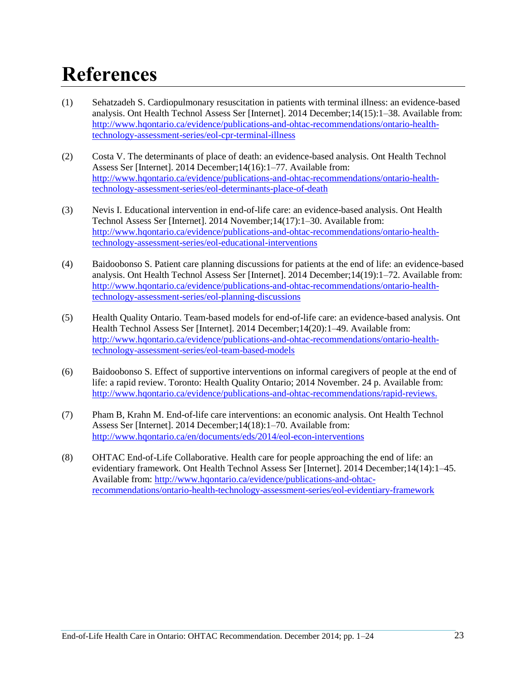# <span id="page-22-0"></span>**References**

- (1) Sehatzadeh S. Cardiopulmonary resuscitation in patients with terminal illness: an evidence-based analysis. Ont Health Technol Assess Ser [Internet]. 2014 December;14(15):1–38. Available from: [http://www.hqontario.ca/evidence/publications-and-ohtac-recommendations/ontario-health](http://www.hqontario.ca/evidence/publications-and-ohtac-recommendations/ontario-health-technology-assessment-series/eol-cpr-terminal-illness)[technology-assessment-series/eol-cpr-terminal-illness](http://www.hqontario.ca/evidence/publications-and-ohtac-recommendations/ontario-health-technology-assessment-series/eol-cpr-terminal-illness)
- (2) Costa V. The determinants of place of death: an evidence-based analysis. Ont Health Technol Assess Ser [Internet]. 2014 December;14(16):1–77. Available from: [http://www.hqontario.ca/evidence/publications-and-ohtac-recommendations/ontario-health](http://www.hqontario.ca/evidence/publications-and-ohtac-recommendations/ontario-health-technology-assessment-series/eol-determinants-place-of-death)[technology-assessment-series/eol-determinants-place-of-death](http://www.hqontario.ca/evidence/publications-and-ohtac-recommendations/ontario-health-technology-assessment-series/eol-determinants-place-of-death)
- (3) Nevis I. Educational intervention in end-of-life care: an evidence-based analysis. Ont Health Technol Assess Ser [Internet]. 2014 November;14(17):1–30. Available from: [http://www.hqontario.ca/evidence/publications-and-ohtac-recommendations/ontario-health](http://www.hqontario.ca/evidence/publications-and-ohtac-recommendations/ontario-health-technology-assessment-series/eol-educational-interventions)[technology-assessment-series/eol-educational-interventions](http://www.hqontario.ca/evidence/publications-and-ohtac-recommendations/ontario-health-technology-assessment-series/eol-educational-interventions)
- (4) Baidoobonso S. Patient care planning discussions for patients at the end of life: an evidence-based analysis. Ont Health Technol Assess Ser [Internet]. 2014 December;14(19):1–72. Available from: [http://www.hqontario.ca/evidence/publications-and-ohtac-recommendations/ontario-health](http://www.hqontario.ca/evidence/publications-and-ohtac-recommendations/ontario-health-technology-assessment-series/topic-name)[technology-assessment-series/e](http://www.hqontario.ca/evidence/publications-and-ohtac-recommendations/ontario-health-technology-assessment-series/topic-name)ol-planning-discussions
- (5) Health Quality Ontario. Team-based models for end-of-life care: an evidence-based analysis. Ont Health Technol Assess Ser [Internet]. 2014 December;14(20):1–49. Available from: [http://www.hqontario.ca/evidence/publications-and-ohtac-recommendations/ontario-health](http://www.hqontario.ca/evidence/publications-and-ohtac-recommendations/ontario-health-technology-assessment-series/eol-team-based-models)[technology-assessment-series/eol-team-based-models](http://www.hqontario.ca/evidence/publications-and-ohtac-recommendations/ontario-health-technology-assessment-series/eol-team-based-models)
- (6) Baidoobonso S. Effect of supportive interventions on informal caregivers of people at the end of life: a rapid review. Toronto: Health Quality Ontario; 2014 November. 24 p. Available from: [http://www.hqontario.ca/evidence/publications-and-ohtac-recommendations/rapid-reviews.](http://www.hqontario.ca/evidence/publications-and-ohtac-recommendations/rapid-reviews)
- (7) Pham B, Krahn M. End-of-life care interventions: an economic analysis. Ont Health Technol Assess Ser [Internet]. 2014 December;14(18):1–70. Available from: <http://www.hqontario.ca/en/documents/eds/2014/eol-econ-interventions>
- (8) OHTAC End-of-Life Collaborative. Health care for people approaching the end of life: an evidentiary framework. Ont Health Technol Assess Ser [Internet]. 2014 December;14(14):1–45. Available from: [http://www.hqontario.ca/evidence/publications-and-ohtac](http://www.hqontario.ca/evidence/publications-and-ohtac-recommendations/ontario-health-technology-assessment-series/eol-evidentiary-framework)[recommendations/ontario-health-technology-assessment-series/eol-evidentiary-framework](http://www.hqontario.ca/evidence/publications-and-ohtac-recommendations/ontario-health-technology-assessment-series/eol-evidentiary-framework)